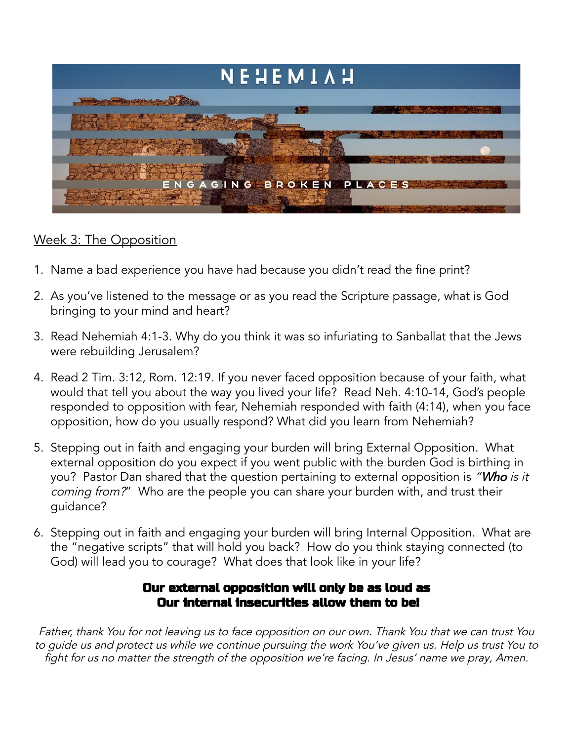

## Week 3: The Opposition

- 1. Name a bad experience you have had because you didn't read the fine print?
- 2. As you've listened to the message or as you read the Scripture passage, what is God bringing to your mind and heart?
- 3. Read Nehemiah 4:1-3. Why do you think it was so infuriating to Sanballat that the Jews were rebuilding Jerusalem?
- 4. Read 2 Tim. 3:12, Rom. 12:19. If you never faced opposition because of your faith, what would that tell you about the way you lived your life? Read Neh. 4:10-14, God's people responded to opposition with fear, Nehemiah responded with faith (4:14), when you face opposition, how do you usually respond? What did you learn from Nehemiah?
- 5. Stepping out in faith and engaging your burden will bring External Opposition. What external opposition do you expect if you went public with the burden God is birthing in you? Pastor Dan shared that the question pertaining to external opposition is "Who is it coming from?" Who are the people you can share your burden with, and trust their guidance?
- 6. Stepping out in faith and engaging your burden will bring Internal Opposition. What are the "negative scripts" that will hold you back? How do you think staying connected (to God) will lead you to courage? What does that look like in your life?

## Our external opposition will only be as loud as Our internal insecurities allow them to be!

Father, thank You for not leaving us to face opposition on our own. Thank You that we can trust You to guide us and protect us while we continue pursuing the work You've <sup>g</sup>iven us. Help us trust You to fight for us no matter the strength of the opposition we're facing. In Jesus' name we pray, Amen.